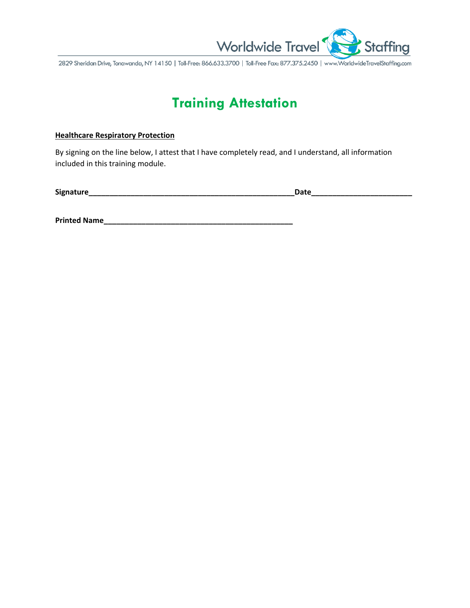

2829 Sheridan Drive, Tonawanda, NY 14150 | Toll-Free: 866.633.3700 | Toll-Free Fax: 877.375.2450 | www.WorldwideTravelStaffing.com

## **Training Attestation**

## **Healthcare Respiratory Protection**

By signing on the line below, I attest that I have completely read, and I understand, all information included in this training module.

**Signature\_\_\_\_\_\_\_\_\_\_\_\_\_\_\_\_\_\_\_\_\_\_\_\_\_\_\_\_\_\_\_\_\_\_\_\_\_\_\_\_\_\_\_\_\_\_\_\_\_Date\_\_\_\_\_\_\_\_\_\_\_\_\_\_\_\_\_\_\_\_\_\_\_\_**

**Printed Name\_\_\_\_\_\_\_\_\_\_\_\_\_\_\_\_\_\_\_\_\_\_\_\_\_\_\_\_\_\_\_\_\_\_\_\_\_\_\_\_\_\_\_\_\_**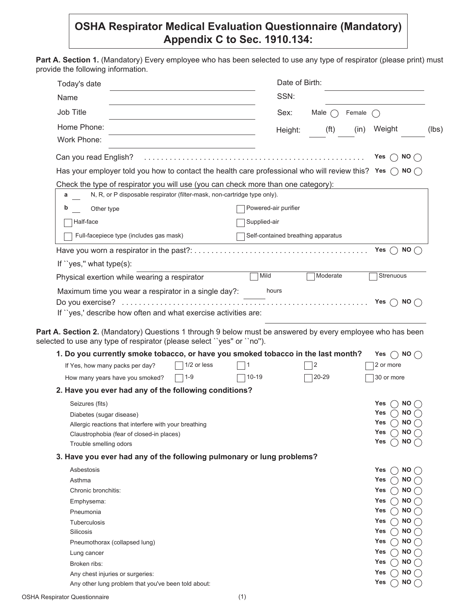## **OSHA Respirator Medical Evaluation Questionnaire (Mandatory) Appendix C to Sec. 1910.134:**

Part A. Section 1. (Mandatory) Every employee who has been selected to use any type of respirator (please print) must provide the following information.

| Today's date                                                                                                              |              | Date of Birth:                     |                   |        |                                         |                        |
|---------------------------------------------------------------------------------------------------------------------------|--------------|------------------------------------|-------------------|--------|-----------------------------------------|------------------------|
| Name                                                                                                                      |              | SSN:                               |                   |        |                                         |                        |
| Job Title                                                                                                                 |              | Sex:                               | Male $\bigcap$    | Female |                                         |                        |
| Home Phone:                                                                                                               |              | Height:                            | (f <sup>t</sup> ) | (in)   | Weight                                  |                        |
| Work Phone:                                                                                                               |              |                                    |                   |        |                                         |                        |
| Can you read English?                                                                                                     |              |                                    |                   |        | Yes                                     | NO(                    |
| Has your employer told you how to contact the health care professional who will review this? Yes $\bigcirc$ NO $\bigcirc$ |              |                                    |                   |        |                                         |                        |
| Check the type of respirator you will use (you can check more than one category):                                         |              |                                    |                   |        |                                         |                        |
| N, R, or P disposable respirator (filter-mask, non-cartridge type only).<br>а                                             |              |                                    |                   |        |                                         |                        |
| Other type<br>b                                                                                                           |              | Powered-air purifier               |                   |        |                                         |                        |
| Half-face                                                                                                                 | Supplied-air |                                    |                   |        |                                         |                        |
|                                                                                                                           |              |                                    |                   |        |                                         |                        |
| Full-facepiece type (includes gas mask)                                                                                   |              | Self-contained breathing apparatus |                   |        |                                         |                        |
|                                                                                                                           |              |                                    |                   |        | Yes                                     | <b>NO</b>              |
| If "yes," what type $(s)$ :                                                                                               |              |                                    |                   |        |                                         |                        |
| Physical exertion while wearing a respirator                                                                              | Mild         |                                    | Moderate          |        | Strenuous                               |                        |
| Maximum time you wear a respirator in a single day?:                                                                      |              | hours                              |                   |        |                                         |                        |
| If "yes,' describe how often and what exercise activities are:                                                            |              |                                    |                   |        |                                         |                        |
| Part A. Section 2. (Mandatory) Questions 1 through 9 below must be answered by every employee who has been                |              |                                    |                   |        |                                         |                        |
| selected to use any type of respirator (please select "yes" or "no").                                                     |              |                                    |                   |        |                                         |                        |
| 1. Do you currently smoke tobacco, or have you smoked tobacco in the last month?<br>1/2 or less                           |              |                                    | 2                 |        | Yes $\bigcap$ NO $\bigcap$<br>2 or more |                        |
| If Yes, how many packs per day?<br>$1 - 9$                                                                                | $10 - 19$    |                                    |                   |        | 30 or more                              |                        |
| How many years have you smoked?                                                                                           |              |                                    | 20-29             |        |                                         |                        |
| 2. Have you ever had any of the following conditions?                                                                     |              |                                    |                   |        |                                         |                        |
| Seizures (fits)                                                                                                           |              |                                    |                   |        | Yes                                     | NO.                    |
| Diabetes (sugar disease)                                                                                                  |              |                                    |                   |        | Yes<br>Yes                              | <b>NO</b>              |
| Allergic reactions that interfere with your breathing                                                                     |              |                                    |                   |        | Yes                                     | <b>NO</b><br><b>NO</b> |
| Claustrophobia (fear of closed-in places)<br>Trouble smelling odors                                                       |              |                                    |                   |        | Yes                                     | <b>NO</b>              |
|                                                                                                                           |              |                                    |                   |        |                                         |                        |
| 3. Have you ever had any of the following pulmonary or lung problems?                                                     |              |                                    |                   |        |                                         |                        |
| Asbestosis                                                                                                                |              |                                    |                   |        | Yes                                     | <b>NO</b>              |
| Asthma                                                                                                                    |              |                                    |                   |        | Yes                                     | <b>NO</b>              |
| Chronic bronchitis:                                                                                                       |              |                                    |                   |        | Yes                                     | <b>NO</b>              |
| Emphysema:                                                                                                                |              |                                    |                   |        | Yes                                     | <b>NO</b>              |
| Pneumonia                                                                                                                 |              |                                    |                   |        | Yes                                     | <b>NO</b>              |
| <b>Tuberculosis</b>                                                                                                       |              |                                    |                   |        | Yes                                     | <b>NO</b>              |
| Silicosis                                                                                                                 |              |                                    |                   |        | Yes                                     | <b>NO</b>              |
| Pneumothorax (collapsed lung)                                                                                             |              |                                    |                   |        | Yes                                     | <b>NO</b>              |
| Lung cancer                                                                                                               |              |                                    |                   |        | Yes<br>Yes                              | <b>NO</b><br><b>NO</b> |
| Broken ribs:<br>Any chest injuries or surgeries:                                                                          |              |                                    |                   |        | Yes                                     | <b>NO</b>              |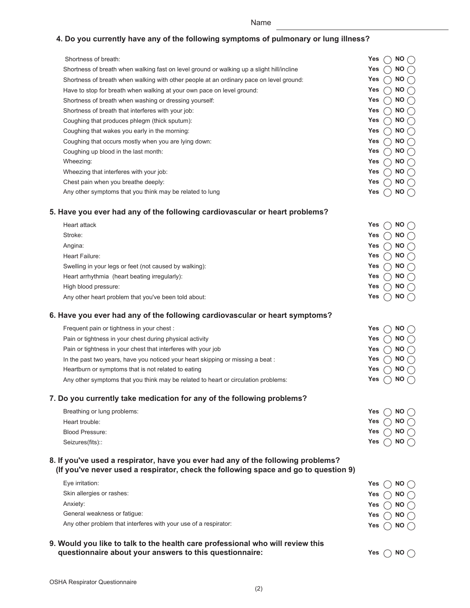Name

## **4. Do you currently have any of the following symptoms of pulmonary or lung illness?**

| Shortness of breath:                                                                                                                                                    | Yes<br>NO.                   |
|-------------------------------------------------------------------------------------------------------------------------------------------------------------------------|------------------------------|
| Shortness of breath when walking fast on level ground or walking up a slight hill/incline                                                                               | <b>NO</b><br>Yes             |
| Shortness of breath when walking with other people at an ordinary pace on level ground:                                                                                 | Yes<br><b>NO</b>             |
| Have to stop for breath when walking at your own pace on level ground:                                                                                                  | Yes<br><b>NO</b>             |
| Shortness of breath when washing or dressing yourself:                                                                                                                  | Yes<br><b>NO</b>             |
| Shortness of breath that interferes with your job:                                                                                                                      | <b>NO</b><br>Yes             |
| Coughing that produces phlegm (thick sputum):                                                                                                                           | <b>NO</b><br>Yes             |
| Coughing that wakes you early in the morning:                                                                                                                           | Yes<br><b>NO</b>             |
| Coughing that occurs mostly when you are lying down:                                                                                                                    | Yes<br><b>NO</b>             |
| Coughing up blood in the last month:                                                                                                                                    | <b>NO</b><br>Yes             |
| Wheezing:                                                                                                                                                               | <b>NO</b><br>Yes             |
| Wheezing that interferes with your job:                                                                                                                                 | Yes<br><b>NO</b>             |
| Chest pain when you breathe deeply:                                                                                                                                     | Yes<br><b>NO</b>             |
| Any other symptoms that you think may be related to lung                                                                                                                | Yes<br><b>NO</b>             |
| 5. Have you ever had any of the following cardiovascular or heart problems?                                                                                             |                              |
| Heart attack                                                                                                                                                            | Yes<br><b>NO</b>             |
| Stroke:                                                                                                                                                                 | Yes<br><b>NO</b>             |
| Angina:                                                                                                                                                                 | <b>NO</b><br>Yes             |
| Heart Failure:                                                                                                                                                          | Yes<br><b>NO</b>             |
| Swelling in your legs or feet (not caused by walking):                                                                                                                  | NO.<br>Yes                   |
| Heart arrhythmia (heart beating irregularly):                                                                                                                           | <b>NO</b><br>Yes             |
| High blood pressure:                                                                                                                                                    | <b>NO</b><br>Yes             |
| Any other heart problem that you've been told about:                                                                                                                    | Yes<br><b>NO</b>             |
| 6. Have you ever had any of the following cardiovascular or heart symptoms?                                                                                             |                              |
| Frequent pain or tightness in your chest :                                                                                                                              | NO.<br>Yes                   |
| Pain or tightness in your chest during physical activity                                                                                                                | Yes<br><b>NO</b>             |
| Pain or tightness in your chest that interferes with your job                                                                                                           | NO.<br>Yes                   |
| In the past two years, have you noticed your heart skipping or missing a beat :                                                                                         | <b>NO</b><br>Yes             |
| Heartburn or symptoms that is not related to eating                                                                                                                     | <b>NO</b><br>Yes             |
| Any other symptoms that you think may be related to heart or circulation problems:                                                                                      | Yes<br><b>NO</b>             |
| 7. Do you currently take medication for any of the following problems?                                                                                                  |                              |
| Breathing or lung problems:                                                                                                                                             | Yes<br>NO()                  |
| Heart trouble:                                                                                                                                                          | Yes<br><b>NO</b>             |
| <b>Blood Pressure:</b>                                                                                                                                                  | Yes<br>$\bigcap$ NO (        |
| Seizures(fits)::                                                                                                                                                        | <b>NO</b><br>Yes             |
| 8. If you've used a respirator, have you ever had any of the following problems?<br>(If you've never used a respirator, check the following space and go to question 9) |                              |
| Eye irritation:                                                                                                                                                         | $NO \cap$<br>Yes             |
| Skin allergies or rashes:                                                                                                                                               | NO $\curvearrowright$<br>Yes |
| Anxiety:                                                                                                                                                                | <b>NO</b><br>Yes             |
| General weakness or fatigue:                                                                                                                                            | <b>NO</b><br>Yes             |
| Any other problem that interferes with your use of a respirator:                                                                                                        | Yes<br>NO.                   |
| 9. Would you like to talk to the health care professional who will review this                                                                                          |                              |
| questionnaire about your answers to this questionnaire:                                                                                                                 | Yes<br>NO(                   |